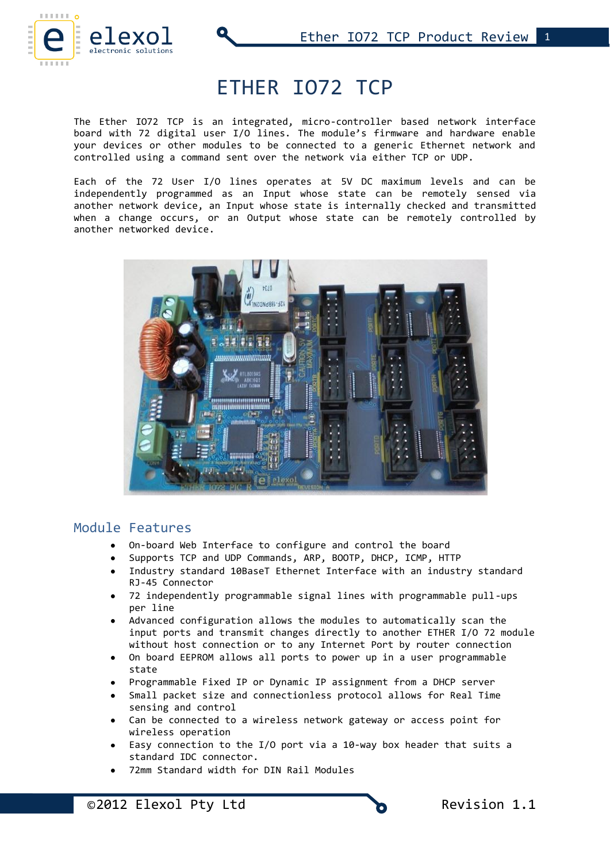

# ETHER IO72 TCP

The Ether IO72 TCP is an integrated, micro-controller based network interface board with 72 digital user I/O lines. The module's firmware and hardware enable your devices or other modules to be connected to a generic Ethernet network and controlled using a command sent over the network via either TCP or UDP.

Each of the 72 User I/O lines operates at 5V DC maximum levels and can be independently programmed as an Input whose state can be remotely sensed via another network device, an Input whose state is internally checked and transmitted when a change occurs, or an Output whose state can be remotely controlled by another networked device.



#### Module Features

- On-board Web Interface to configure and control the board
- Supports TCP and UDP Commands, ARP, BOOTP, DHCP, ICMP, HTTP
- Industry standard 10BaseT Ethernet Interface with an industry standard RJ-45 Connector
- 72 independently programmable signal lines with programmable pull-ups per line
- Advanced configuration allows the modules to automatically scan the input ports and transmit changes directly to another ETHER I/O 72 module without host connection or to any Internet Port by router connection
- On board EEPROM allows all ports to power up in a user programmable state
- Programmable Fixed IP or Dynamic IP assignment from a DHCP server
- Small packet size and connectionless protocol allows for Real Time sensing and control
- Can be connected to a wireless network gateway or access point for wireless operation
- Easy connection to the I/O port via a 10-way box header that suits a standard IDC connector.
- 72mm Standard width for DIN Rail Modules